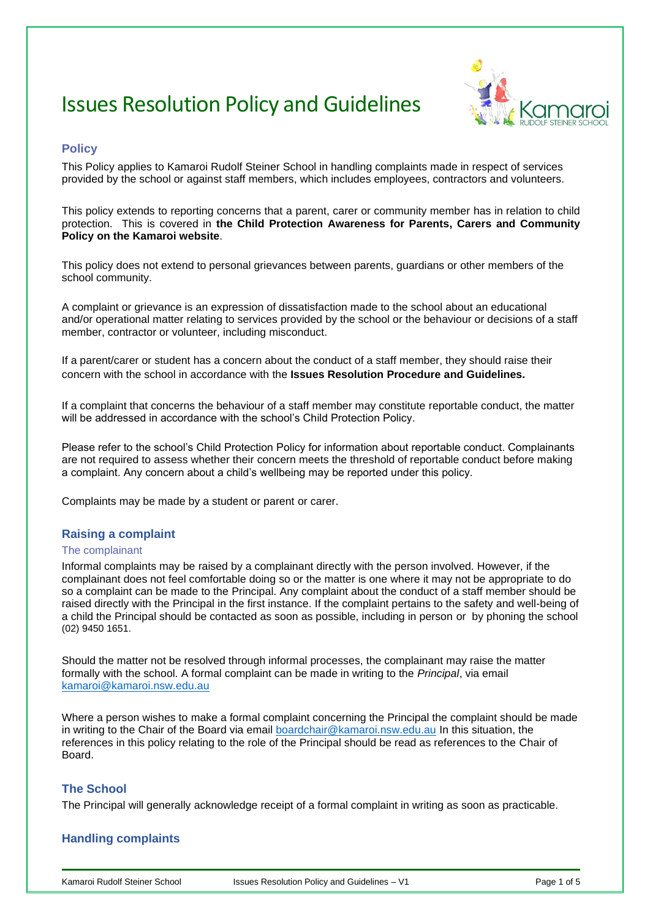# Issues Resolution Policy and Guidelines



# **Policy**

This Policy applies to Kamaroi Rudolf Steiner School in handling complaints made in respect of services provided by the school or against staff members, which includes employees, contractors and volunteers.

This policy extends to reporting concerns that a parent, carer or community member has in relation to child protection. This is covered in **the Child Protection Awareness for Parents, Carers and Community Policy on the Kamaroi website**.

This policy does not extend to personal grievances between parents, guardians or other members of the school community.

A complaint or grievance is an expression of dissatisfaction made to the school about an educational and/or operational matter relating to services provided by the school or the behaviour or decisions of a staff member, contractor or volunteer, including misconduct.

If a parent/carer or student has a concern about the conduct of a staff member, they should raise their concern with the school in accordance with the **Issues Resolution Procedure and Guidelines.**

If a complaint that concerns the behaviour of a staff member may constitute reportable conduct, the matter will be addressed in accordance with the school's Child Protection Policy.

Please refer to the school's Child Protection Policy for information about reportable conduct. Complainants are not required to assess whether their concern meets the threshold of reportable conduct before making a complaint. Any concern about a child's wellbeing may be reported under this policy.

Complaints may be made by a student or parent or carer.

### **Raising a complaint**

#### The complainant

Informal complaints may be raised by a complainant directly with the person involved. However, if the complainant does not feel comfortable doing so or the matter is one where it may not be appropriate to do so a complaint can be made to the Principal. Any complaint about the conduct of a staff member should be raised directly with the Principal in the first instance. If the complaint pertains to the safety and well-being of a child the Principal should be contacted as soon as possible, including in person or by phoning the school (02) 9450 1651.

Should the matter not be resolved through informal processes, the complainant may raise the matter formally with the school. A formal complaint can be made in writing to the *Principal*, via email [kamaroi@kamaroi.nsw.edu.au](mailto:kamaroi@kamaroi.nsw.edu.au)

Where a person wishes to make a formal complaint concerning the Principal the complaint should be made in writing to the Chair of the Board via email boardchair@kamaroi.nsw.edu.au In this situation, the references in this policy relating to the role of the Principal should be read as references to the Chair of Board.

### **The School**

The Principal will generally acknowledge receipt of a formal complaint in writing as soon as practicable.

### **Handling complaints**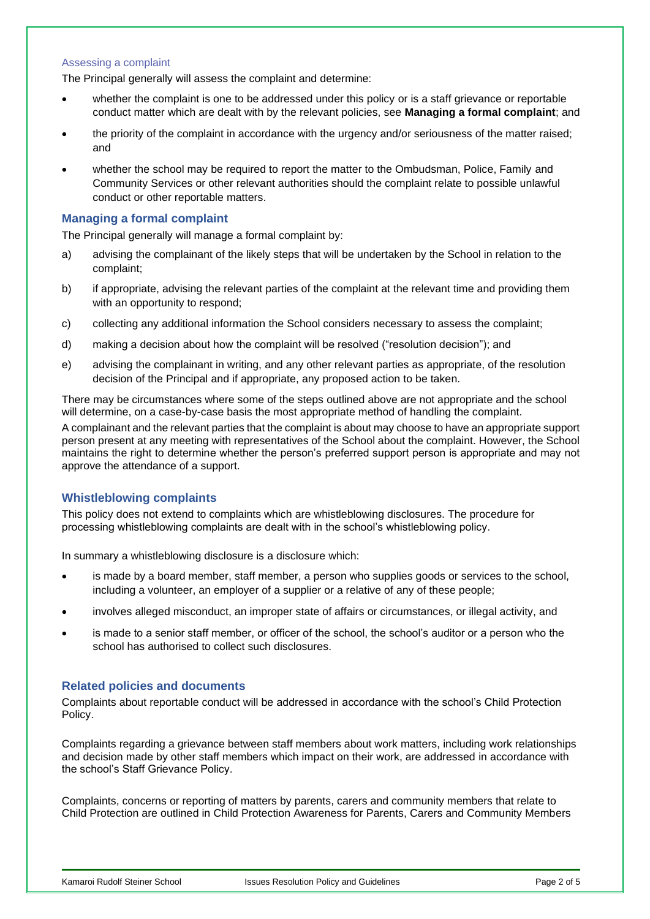#### Assessing a complaint

The Principal generally will assess the complaint and determine:

- whether the complaint is one to be addressed under this policy or is a staff grievance or reportable conduct matter which are dealt with by the relevant policies, see **Managing a formal complaint**; and
- the priority of the complaint in accordance with the urgency and/or seriousness of the matter raised; and
- whether the school may be required to report the matter to the Ombudsman, Police, Family and Community Services or other relevant authorities should the complaint relate to possible unlawful conduct or other reportable matters.

### **Managing a formal complaint**

The Principal generally will manage a formal complaint by:

- a) advising the complainant of the likely steps that will be undertaken by the School in relation to the complaint;
- b) if appropriate, advising the relevant parties of the complaint at the relevant time and providing them with an opportunity to respond;
- c) collecting any additional information the School considers necessary to assess the complaint;
- d) making a decision about how the complaint will be resolved ("resolution decision"); and
- e) advising the complainant in writing, and any other relevant parties as appropriate, of the resolution decision of the Principal and if appropriate, any proposed action to be taken.

There may be circumstances where some of the steps outlined above are not appropriate and the school will determine, on a case-by-case basis the most appropriate method of handling the complaint.

A complainant and the relevant parties that the complaint is about may choose to have an appropriate support person present at any meeting with representatives of the School about the complaint. However, the School maintains the right to determine whether the person's preferred support person is appropriate and may not approve the attendance of a support.

### **Whistleblowing complaints**

This policy does not extend to complaints which are whistleblowing disclosures. The procedure for processing whistleblowing complaints are dealt with in the school's whistleblowing policy.

In summary a whistleblowing disclosure is a disclosure which:

- is made by a board member, staff member, a person who supplies goods or services to the school, including a volunteer, an employer of a supplier or a relative of any of these people;
- involves alleged misconduct, an improper state of affairs or circumstances, or illegal activity, and
- is made to a senior staff member, or officer of the school, the school's auditor or a person who the school has authorised to collect such disclosures.

### **Related policies and documents**

Complaints about reportable conduct will be addressed in accordance with the school's Child Protection Policy.

Complaints regarding a grievance between staff members about work matters, including work relationships and decision made by other staff members which impact on their work, are addressed in accordance with the school's Staff Grievance Policy.

Complaints, concerns or reporting of matters by parents, carers and community members that relate to Child Protection are outlined in Child Protection Awareness for Parents, Carers and Community Members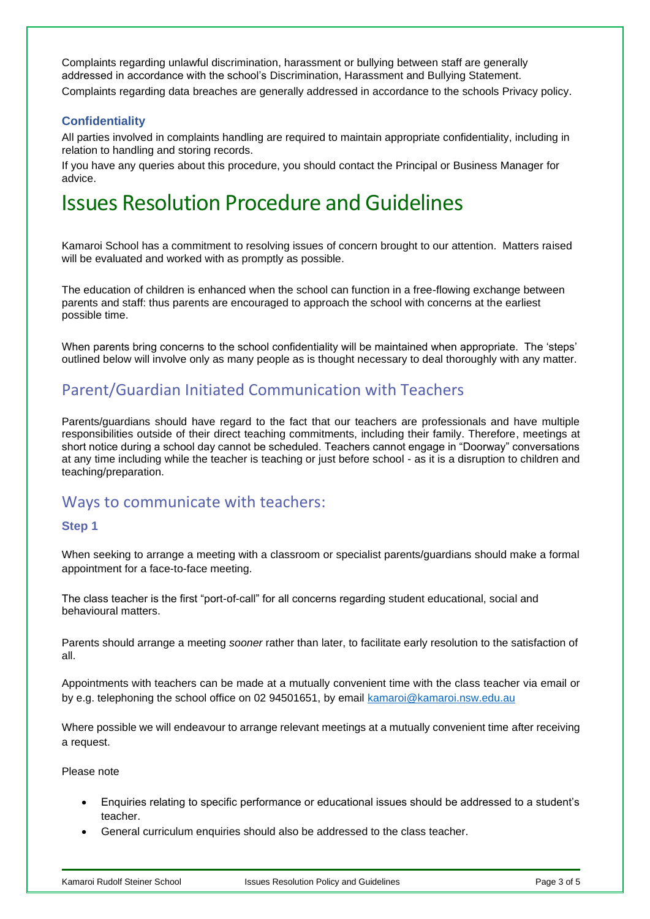Complaints regarding unlawful discrimination, harassment or bullying between staff are generally addressed in accordance with the school's Discrimination, Harassment and Bullying Statement. Complaints regarding data breaches are generally addressed in accordance to the schools Privacy policy.

# **Confidentiality**

All parties involved in complaints handling are required to maintain appropriate confidentiality, including in relation to handling and storing records.

If you have any queries about this procedure, you should contact the Principal or Business Manager for advice.

# Issues Resolution Procedure and Guidelines

Kamaroi School has a commitment to resolving issues of concern brought to our attention. Matters raised will be evaluated and worked with as promptly as possible.

The education of children is enhanced when the school can function in a free-flowing exchange between parents and staff: thus parents are encouraged to approach the school with concerns at the earliest possible time.

When parents bring concerns to the school confidentiality will be maintained when appropriate. The 'steps' outlined below will involve only as many people as is thought necessary to deal thoroughly with any matter.

# Parent/Guardian Initiated Communication with Teachers

Parents/guardians should have regard to the fact that our teachers are professionals and have multiple responsibilities outside of their direct teaching commitments, including their family. Therefore, meetings at short notice during a school day cannot be scheduled. Teachers cannot engage in "Doorway" conversations at any time including while the teacher is teaching or just before school - as it is a disruption to children and teaching/preparation.

# Ways to communicate with teachers:

### **Step 1**

When seeking to arrange a meeting with a classroom or specialist parents/guardians should make a formal appointment for a face-to-face meeting.

The class teacher is the first "port-of-call" for all concerns regarding student educational, social and behavioural matters.

Parents should arrange a meeting *sooner* rather than later, to facilitate early resolution to the satisfaction of all.

Appointments with teachers can be made at a mutually convenient time with the class teacher via email or by e.g. telephoning the school office on 02 94501651, by email [kamaroi@kamaroi.nsw.edu.au](mailto:kamaroi@kamaroi.nsw.edu.au)

Where possible we will endeavour to arrange relevant meetings at a mutually convenient time after receiving a request.

Please note

- Enquiries relating to specific performance or educational issues should be addressed to a student's teacher.
- General curriculum enquiries should also be addressed to the class teacher.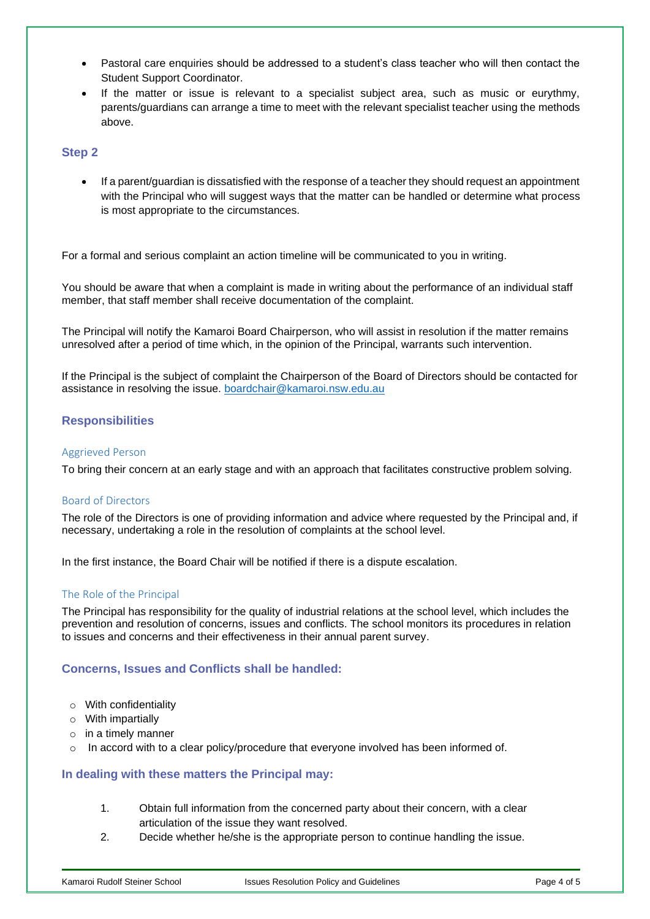- Pastoral care enquiries should be addressed to a student's class teacher who will then contact the Student Support Coordinator.
- If the matter or issue is relevant to a specialist subject area, such as music or eurythmy, parents/guardians can arrange a time to meet with the relevant specialist teacher using the methods above.

## **Step 2**

• If a parent/guardian is dissatisfied with the response of a teacher they should request an appointment with the Principal who will suggest ways that the matter can be handled or determine what process is most appropriate to the circumstances.

For a formal and serious complaint an action timeline will be communicated to you in writing.

You should be aware that when a complaint is made in writing about the performance of an individual staff member, that staff member shall receive documentation of the complaint.

The Principal will notify the Kamaroi Board Chairperson, who will assist in resolution if the matter remains unresolved after a period of time which, in the opinion of the Principal, warrants such intervention.

If the Principal is the subject of complaint the Chairperson of the Board of Directors should be contacted for assistance in resolving the issue. boardchair@kamaroi.nsw.edu.au

## **Responsibilities**

### Aggrieved Person

To bring their concern at an early stage and with an approach that facilitates constructive problem solving.

### Board of Directors

The role of the Directors is one of providing information and advice where requested by the Principal and, if necessary, undertaking a role in the resolution of complaints at the school level.

In the first instance, the Board Chair will be notified if there is a dispute escalation.

### The Role of the Principal

The Principal has responsibility for the quality of industrial relations at the school level, which includes the prevention and resolution of concerns, issues and conflicts. The school monitors its procedures in relation to issues and concerns and their effectiveness in their annual parent survey.

### **Concerns, Issues and Conflicts shall be handled:**

- o With confidentiality
- $\circ$  With impartially
- $\circ$  in a timely manner
- $\circ$  In accord with to a clear policy/procedure that everyone involved has been informed of.

### **In dealing with these matters the Principal may:**

- 1. Obtain full information from the concerned party about their concern, with a clear articulation of the issue they want resolved.
- 2. Decide whether he/she is the appropriate person to continue handling the issue.